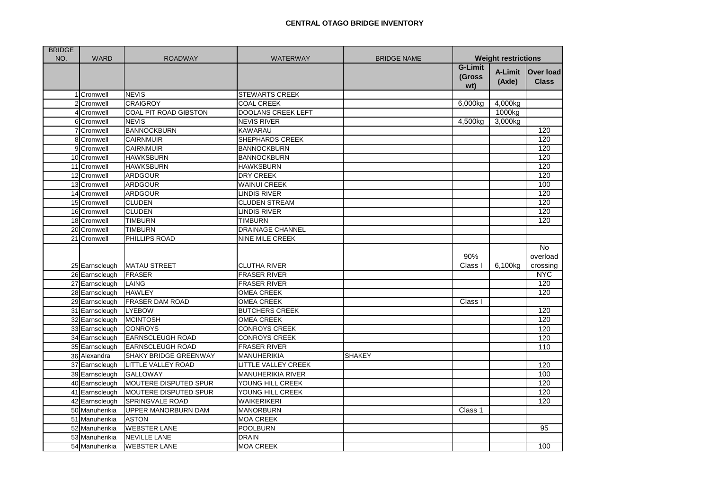| <b>BRIDGE</b> |                |                            |                           |                    |                                 |                   |                                   |
|---------------|----------------|----------------------------|---------------------------|--------------------|---------------------------------|-------------------|-----------------------------------|
| NO.           | <b>WARD</b>    | <b>ROADWAY</b>             | <b>WATERWAY</b>           | <b>BRIDGE NAME</b> | <b>Weight restrictions</b>      |                   |                                   |
|               |                |                            |                           |                    | <b>G-Limit</b><br>(Gross<br>wt) | A-Limit<br>(Axle) | Over load<br><b>Class</b>         |
|               | 1 Cromwell     | <b>NEVIS</b>               | <b>STEWARTS CREEK</b>     |                    |                                 |                   |                                   |
|               | Cromwell       | <b>CRAIGROY</b>            | <b>COAL CREEK</b>         |                    | 6,000kg                         | 4,000kg           |                                   |
|               | 4 Cromwell     | COAL PIT ROAD GIBSTON      | <b>DOOLANS CREEK LEFT</b> |                    |                                 | 1000kg            |                                   |
|               | 6 Cromwell     | <b>NEVIS</b>               | <b>NEVIS RIVER</b>        |                    | 4,500kg                         | 3,000kg           |                                   |
|               | Cromwell       | <b>BANNOCKBURN</b>         | <b>KAWARAU</b>            |                    |                                 |                   | 120                               |
|               | 8 Cromwell     | <b>CAIRNMUIR</b>           | SHEPHARDS CREEK           |                    |                                 |                   | 120                               |
|               | 9 Cromwell     | <b>CAIRNMUIR</b>           | <b>BANNOCKBURN</b>        |                    |                                 |                   | 120                               |
|               | 10 Cromwell    | <b>HAWKSBURN</b>           | <b>BANNOCKBURN</b>        |                    |                                 |                   | 120                               |
|               | 11 Cromwell    | <b>HAWKSBURN</b>           | <b>HAWKSBURN</b>          |                    |                                 |                   | 120                               |
|               | 12 Cromwell    | <b>ARDGOUR</b>             | <b>DRY CREEK</b>          |                    |                                 |                   | 120                               |
|               | 13 Cromwell    | <b>ARDGOUR</b>             | <b>WAINUI CREEK</b>       |                    |                                 |                   | 100                               |
|               | 14 Cromwell    | <b>ARDGOUR</b>             | <b>LINDIS RIVER</b>       |                    |                                 |                   | 120                               |
|               | 15 Cromwell    | <b>CLUDEN</b>              | <b>CLUDEN STREAM</b>      |                    |                                 |                   | 120                               |
|               | 16 Cromwell    | <b>CLUDEN</b>              | <b>LINDIS RIVER</b>       |                    |                                 |                   | 120                               |
|               | 18 Cromwell    | <b>TIMBURN</b>             | <b>TIMBURN</b>            |                    |                                 |                   | 120                               |
|               | 20 Cromwell    | <b>TIMBURN</b>             | <b>DRAINAGE CHANNEL</b>   |                    |                                 |                   |                                   |
|               | 21 Cromwell    | PHILLIPS ROAD              | <b>NINE MILE CREEK</b>    |                    |                                 |                   |                                   |
|               | 25 Earnscleugh | <b>MATAU STREET</b>        | <b>CLUTHA RIVER</b>       |                    | 90%<br>Class I                  | 6,100kg           | <b>No</b><br>overload<br>crossing |
|               | 26 Earnscleugh | <b>FRASER</b>              | <b>FRASER RIVER</b>       |                    |                                 |                   | <b>NYC</b>                        |
|               | 27 Earnscleugh | LAING                      | <b>FRASER RIVER</b>       |                    |                                 |                   | 120                               |
|               | 28 Earnscleugh | <b>HAWLEY</b>              | <b>OMEA CREEK</b>         |                    |                                 |                   | 120                               |
|               | 29 Earnscleugh | <b>FRASER DAM ROAD</b>     | <b>OMEA CREEK</b>         |                    | Class I                         |                   |                                   |
|               | 31 Earnscleugh | <b>LYEBOW</b>              | <b>BUTCHERS CREEK</b>     |                    |                                 |                   | 120                               |
|               | 32 Earnscleugh | <b>MCINTOSH</b>            | <b>OMEA CREEK</b>         |                    |                                 |                   | 120                               |
|               | 33 Earnscleugh | <b>CONROYS</b>             | <b>CONROYS CREEK</b>      |                    |                                 |                   | 120                               |
|               | 34 Earnscleugh | <b>EARNSCLEUGH ROAD</b>    | <b>CONROYS CREEK</b>      |                    |                                 |                   | 120                               |
|               | 35 Earnscleugh | <b>EARNSCLEUGH ROAD</b>    | <b>FRASER RIVER</b>       |                    |                                 |                   | 110                               |
|               | 36 Alexandra   | SHAKY BRIDGE GREENWAY      | <b>MANUHERIKIA</b>        | <b>SHAKEY</b>      |                                 |                   |                                   |
|               | 37 Earnscleugh | <b>LITTLE VALLEY ROAD</b>  | LITTLE VALLEY CREEK       |                    |                                 |                   | 120                               |
|               | 39 Earnscleugh | <b>GALLOWAY</b>            | <b>MANUHERIKIA RIVER</b>  |                    |                                 |                   | 100                               |
|               | 40 Earnscleugh | MOUTERE DISPUTED SPUR      | YOUNG HILL CREEK          |                    |                                 |                   | 120                               |
|               | 41 Earnscleugh | MOUTERE DISPUTED SPUR      | YOUNG HILL CREEK          |                    |                                 |                   | 120                               |
|               | 42 Earnscleugh | <b>SPRINGVALE ROAD</b>     | WAIKERIKERI               |                    |                                 |                   | 120                               |
|               | 50 Manuherikia | <b>UPPER MANORBURN DAM</b> | <b>MANORBURN</b>          |                    | Class 1                         |                   |                                   |
|               | 51 Manuherikia | <b>ASTON</b>               | <b>MOA CREEK</b>          |                    |                                 |                   |                                   |
|               | 52 Manuherikia | <b>WEBSTER LANE</b>        | <b>POOLBURN</b>           |                    |                                 |                   | 95                                |
|               | 53 Manuherikia | <b>NEVILLE LANE</b>        | <b>DRAIN</b>              |                    |                                 |                   |                                   |
|               | 54 Manuherikia | <b>WEBSTER LANE</b>        | <b>MOA CREEK</b>          |                    |                                 |                   | 100                               |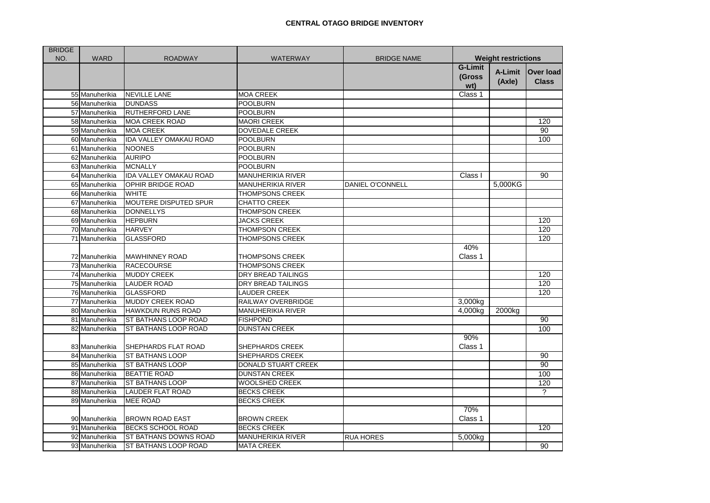| <b>BRIDGE</b> |                |                                          |                          |                         |                            |         |                          |
|---------------|----------------|------------------------------------------|--------------------------|-------------------------|----------------------------|---------|--------------------------|
| NO.           | <b>WARD</b>    | <b>ROADWAY</b>                           | <b>WATERWAY</b>          | <b>BRIDGE NAME</b>      | <b>Weight restrictions</b> |         |                          |
|               |                |                                          |                          |                         | <b>G-Limit</b>             | A-Limit | Over load                |
|               |                |                                          |                          |                         | (Gross                     | (Axle)  | <b>Class</b>             |
|               | 55 Manuherikia | <b>NEVILLE LANE</b>                      | <b>MOA CREEK</b>         |                         | wt)<br>Class 1             |         |                          |
|               |                |                                          |                          |                         |                            |         |                          |
|               | 56 Manuherikia | <b>DUNDASS</b><br><b>RUTHERFORD LANE</b> | POOLBURN                 |                         |                            |         |                          |
|               | 57 Manuherikia | <b>MOA CREEK ROAD</b>                    | <b>POOLBURN</b>          |                         |                            |         |                          |
|               | 58 Manuherikia |                                          | <b>MAORI CREEK</b>       |                         |                            |         | 120                      |
|               | 59 Manuherikia | <b>MOA CREEK</b>                         | <b>DOVEDALE CREEK</b>    |                         |                            |         | 90                       |
|               | 60 Manuherikia | IDA VALLEY OMAKAU ROAD                   | <b>POOLBURN</b>          |                         |                            |         | 100                      |
|               | 61 Manuherikia | <b>NOONES</b>                            | <b>POOLBURN</b>          |                         |                            |         |                          |
|               | 62 Manuherikia | <b>AURIPO</b>                            | <b>POOLBURN</b>          |                         |                            |         |                          |
|               | 63 Manuherikia | <b>MCNALLY</b>                           | <b>POOLBURN</b>          |                         |                            |         |                          |
|               | 64 Manuherikia | <b>IDA VALLEY OMAKAU ROAD</b>            | <b>MANUHERIKIA RIVER</b> |                         | Class I                    |         | 90                       |
|               | 65 Manuherikia | <b>OPHIR BRIDGE ROAD</b>                 | <b>MANUHERIKIA RIVER</b> | <b>DANIEL O'CONNELL</b> |                            | 5,000KG |                          |
|               | 66 Manuherikia | <b>WHITE</b>                             | <b>THOMPSONS CREEK</b>   |                         |                            |         |                          |
|               | 67 Manuherikia | MOUTERE DISPUTED SPUR                    | <b>CHATTO CREEK</b>      |                         |                            |         |                          |
|               | 68 Manuherikia | <b>DONNELLYS</b>                         | THOMPSON CREEK           |                         |                            |         |                          |
|               | 69 Manuherikia | <b>HEPBURN</b>                           | <b>JACKS CREEK</b>       |                         |                            |         | 120                      |
|               | 70 Manuherikia | <b>HARVEY</b>                            | <b>THOMPSON CREEK</b>    |                         |                            |         | 120                      |
|               | 71 Manuherikia | <b>GLASSFORD</b>                         | <b>THOMPSONS CREEK</b>   |                         |                            |         | 120                      |
|               |                |                                          |                          |                         | 40%                        |         |                          |
|               | 72 Manuherikia | <b>MAWHINNEY ROAD</b>                    | <b>THOMPSONS CREEK</b>   |                         | Class 1                    |         |                          |
|               | 73 Manuherikia | <b>RACECOURSE</b>                        | <b>THOMPSONS CREEK</b>   |                         |                            |         |                          |
|               | 74 Manuherikia | <b>MUDDY CREEK</b>                       | DRY BREAD TAILINGS       |                         |                            |         | 120                      |
|               | 75 Manuherikia | <b>LAUDER ROAD</b>                       | DRY BREAD TAILINGS       |                         |                            |         | 120                      |
|               | 76 Manuherikia | <b>GLASSFORD</b>                         | <b>LAUDER CREEK</b>      |                         |                            |         | 120                      |
|               | 77 Manuherikia | <b>MUDDY CREEK ROAD</b>                  | RAILWAY OVERBRIDGE       |                         | 3,000kg                    |         |                          |
|               | 80 Manuherikia | <b>HAWKDUN RUNS ROAD</b>                 | <b>MANUHERIKIA RIVER</b> |                         | 4,000kg                    | 2000kg  |                          |
|               | 81 Manuherikia | ST BATHANS LOOP ROAD                     | <b>FISHPOND</b>          |                         |                            |         | 90                       |
|               | 82 Manuherikia | ST BATHANS LOOP ROAD                     | <b>DUNSTAN CREEK</b>     |                         |                            |         | 100                      |
|               |                |                                          |                          |                         | 90%                        |         |                          |
|               | 83 Manuherikia | SHEPHARDS FLAT ROAD                      | SHEPHARDS CREEK          |                         | Class 1                    |         |                          |
|               | 84 Manuherikia | <b>ST BATHANS LOOP</b>                   | SHEPHARDS CREEK          |                         |                            |         | 90                       |
|               | 85 Manuherikia | <b>ST BATHANS LOOP</b>                   | DONALD STUART CREEK      |                         |                            |         | 90                       |
|               | 86 Manuherikia | <b>BEATTIE ROAD</b>                      | <b>DUNSTAN CREEK</b>     |                         |                            |         | 100                      |
|               | 87 Manuherikia | <b>ST BATHANS LOOP</b>                   | WOOLSHED CREEK           |                         |                            |         | 120                      |
|               | 88 Manuherikia | <b>LAUDER FLAT ROAD</b>                  | <b>BECKS CREEK</b>       |                         |                            |         | $\overline{\mathcal{C}}$ |
|               | 89 Manuherikia | <b>MEE ROAD</b>                          | <b>BECKS CREEK</b>       |                         |                            |         |                          |
|               |                |                                          |                          |                         | 70%                        |         |                          |
|               | 90 Manuherikia | <b>BROWN ROAD EAST</b>                   | <b>BROWN CREEK</b>       |                         | Class 1                    |         |                          |
|               | 91 Manuherikia | <b>BECKS SCHOOL ROAD</b>                 | <b>BECKS CREEK</b>       |                         |                            |         | 120                      |
|               | 92 Manuherikia | <b>ST BATHANS DOWNS ROAD</b>             | <b>MANUHERIKIA RIVER</b> | <b>RUA HORES</b>        | 5,000kg                    |         |                          |
|               | 93 Manuherikia | <b>ST BATHANS LOOP ROAD</b>              | <b>MATA CREEK</b>        |                         |                            |         | $\overline{90}$          |
|               |                |                                          |                          |                         |                            |         |                          |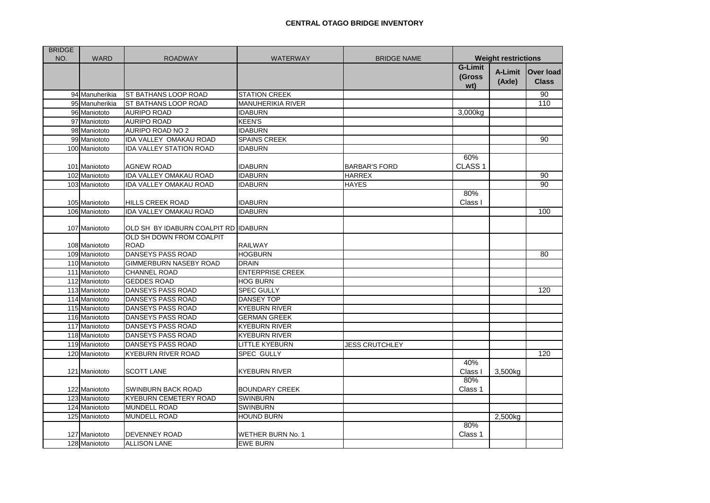| <b>BRIDGE</b> |                |                                         |                          |                       |                                 |                   |                                  |
|---------------|----------------|-----------------------------------------|--------------------------|-----------------------|---------------------------------|-------------------|----------------------------------|
| NO.           | <b>WARD</b>    | <b>ROADWAY</b>                          | <b>WATERWAY</b>          | <b>BRIDGE NAME</b>    | <b>Weight restrictions</b>      |                   |                                  |
|               |                |                                         |                          |                       | <b>G-Limit</b><br>(Gross<br>wt) | A-Limit<br>(Axle) | <b>Over load</b><br><b>Class</b> |
|               | 94 Manuherikia | <b>ST BATHANS LOOP ROAD</b>             | <b>STATION CREEK</b>     |                       |                                 |                   | 90                               |
|               | 95 Manuherikia | ST BATHANS LOOP ROAD                    | <b>MANUHERIKIA RIVER</b> |                       |                                 |                   | 110                              |
|               | 96 Maniototo   | <b>AURIPO ROAD</b>                      | <b>IDABURN</b>           |                       | 3,000kg                         |                   |                                  |
|               | 97 Maniototo   | <b>AURIPO ROAD</b>                      | <b>KEEN'S</b>            |                       |                                 |                   |                                  |
|               | 98 Maniototo   | AURIPO ROAD NO 2                        | <b>IDABURN</b>           |                       |                                 |                   |                                  |
|               | 99 Maniototo   | IDA VALLEY OMAKAU ROAD                  | <b>SPAINS CREEK</b>      |                       |                                 |                   | 90                               |
|               | 100 Maniototo  | <b>IDA VALLEY STATION ROAD</b>          | <b>IDABURN</b>           |                       |                                 |                   |                                  |
|               | 101 Maniototo  | <b>AGNEW ROAD</b>                       | <b>IDABURN</b>           | <b>BARBAR'S FORD</b>  | 60%<br>CLASS <sub>1</sub>       |                   |                                  |
|               | 102 Maniototo  | <b>IDA VALLEY OMAKAU ROAD</b>           | <b>IDABURN</b>           | <b>HARREX</b>         |                                 |                   | 90                               |
|               | 103 Maniototo  | <b>IDA VALLEY OMAKAU ROAD</b>           | <b>IDABURN</b>           | <b>HAYES</b>          |                                 |                   | 90                               |
|               | 105 Maniototo  | <b>HILLS CREEK ROAD</b>                 | <b>IDABURN</b>           |                       | 80%<br>Class I                  |                   |                                  |
|               | 106 Maniototo  | <b>IDA VALLEY OMAKAU ROAD</b>           | <b>IDABURN</b>           |                       |                                 |                   | 100                              |
|               | 107 Maniototo  | OLD SH BY IDABURN COALPIT RD IDABURN    |                          |                       |                                 |                   |                                  |
|               | 108 Maniototo  | OLD SH DOWN FROM COALPIT<br><b>ROAD</b> | <b>RAILWAY</b>           |                       |                                 |                   |                                  |
|               | 109 Maniototo  | DANSEYS PASS ROAD                       | <b>HOGBURN</b>           |                       |                                 |                   | 80                               |
|               | 110 Maniototo  | GIMMERBURN NASEBY ROAD                  | <b>DRAIN</b>             |                       |                                 |                   |                                  |
|               | 111 Maniototo  | <b>CHANNEL ROAD</b>                     | <b>ENTERPRISE CREEK</b>  |                       |                                 |                   |                                  |
|               | 112 Maniototo  | <b>GEDDES ROAD</b>                      | <b>HOG BURN</b>          |                       |                                 |                   |                                  |
|               | 113 Maniototo  | DANSEYS PASS ROAD                       | <b>SPEC GULLY</b>        |                       |                                 |                   | 120                              |
|               | 114 Maniototo  | DANSEYS PASS ROAD                       | <b>DANSEY TOP</b>        |                       |                                 |                   |                                  |
|               | 115 Maniototo  | DANSEYS PASS ROAD                       | <b>KYEBURN RIVER</b>     |                       |                                 |                   |                                  |
|               | 116 Maniototo  | DANSEYS PASS ROAD                       | <b>GERMAN GREEK</b>      |                       |                                 |                   |                                  |
|               | 117 Maniototo  | DANSEYS PASS ROAD                       | <b>KYEBURN RIVER</b>     |                       |                                 |                   |                                  |
|               | 118 Maniototo  | DANSEYS PASS ROAD                       | <b>KYEBURN RIVER</b>     |                       |                                 |                   |                                  |
|               | 119 Maniototo  | <b>DANSEYS PASS ROAD</b>                | <b>LITTLE KYEBURN</b>    | <b>JESS CRUTCHLEY</b> |                                 |                   |                                  |
|               | 120 Maniototo  | <b>KYEBURN RIVER ROAD</b>               | <b>SPEC GULLY</b>        |                       |                                 |                   | 120                              |
|               | 121 Maniototo  | <b>SCOTT LANE</b>                       | <b>KYEBURN RIVER</b>     |                       | 40%<br><b>Class</b>             | 3,500kg           |                                  |
|               | 122 Maniototo  | SWINBURN BACK ROAD                      | <b>BOUNDARY CREEK</b>    |                       | 80%<br>Class 1                  |                   |                                  |
|               | 123 Maniototo  | <b>KYEBURN CEMETERY ROAD</b>            | <b>SWINBURN</b>          |                       |                                 |                   |                                  |
|               | 124 Maniototo  | <b>MUNDELL ROAD</b>                     | <b>SWINBURN</b>          |                       |                                 |                   |                                  |
|               | 125 Maniototo  | <b>MUNDELL ROAD</b>                     | <b>HOUND BURN</b>        |                       |                                 | 2,500kg           |                                  |
|               | 127 Maniototo  | <b>DEVENNEY ROAD</b>                    | <b>WETHER BURN No. 1</b> |                       | 80%<br>Class 1                  |                   |                                  |
|               | 128 Maniototo  | <b>ALLISON LANE</b>                     | <b>EWE BURN</b>          |                       |                                 |                   |                                  |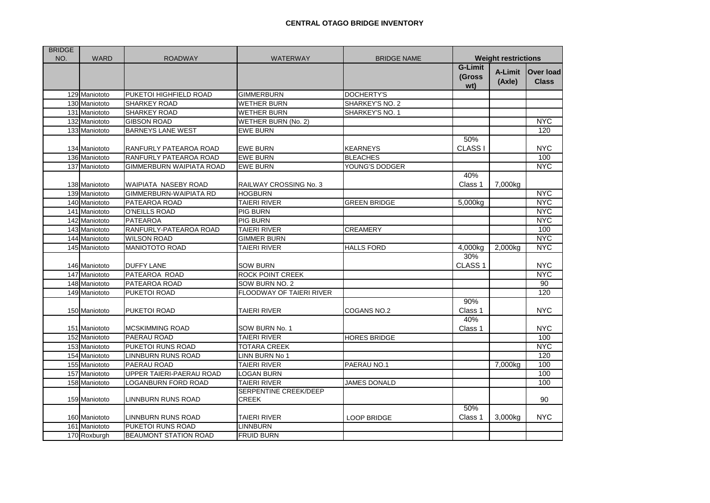| <b>BRIDGE</b> |               |                               |                                       |                     |                                 |                   |                           |
|---------------|---------------|-------------------------------|---------------------------------------|---------------------|---------------------------------|-------------------|---------------------------|
| NO.           | <b>WARD</b>   | <b>ROADWAY</b>                | <b>WATERWAY</b>                       | <b>BRIDGE NAME</b>  | <b>Weight restrictions</b>      |                   |                           |
|               |               |                               |                                       |                     | <b>G-Limit</b><br>(Gross<br>wt) | A-Limit<br>(Axle) | Over load<br><b>Class</b> |
|               | 129 Maniototo | PUKETOI HIGHFIELD ROAD        | <b>GIMMERBURN</b>                     | <b>DOCHERTY'S</b>   |                                 |                   |                           |
|               | 130 Maniototo | <b>SHARKEY ROAD</b>           | <b>WETHER BURN</b>                    | SHARKEY'S NO. 2     |                                 |                   |                           |
|               | 131 Maniototo | <b>SHARKEY ROAD</b>           | <b>WETHER BURN</b>                    | SHARKEY'S NO. 1     |                                 |                   |                           |
|               | 132 Maniototo | <b>GIBSON ROAD</b>            | WETHER BURN (No. 2)                   |                     |                                 |                   | <b>NYC</b>                |
|               | 133 Maniototo | <b>BARNEYS LANE WEST</b>      | <b>EWE BURN</b>                       |                     |                                 |                   | 120                       |
|               |               |                               |                                       |                     | 50%                             |                   |                           |
|               | 134 Maniototo | RANFURLY PATEAROA ROAD        | <b>EWE BURN</b>                       | <b>KEARNEYS</b>     | <b>CLASS I</b>                  |                   | <b>NYC</b>                |
|               | 136 Maniototo | RANFURLY PATEAROA ROAD        | <b>EWE BURN</b>                       | <b>BLEACHES</b>     |                                 |                   | 100                       |
|               | 137 Maniototo | GIMMERBURN WAIPIATA ROAD      | <b>EWE BURN</b>                       | YOUNG'S DODGER      |                                 |                   | <b>NYC</b>                |
|               | 138 Maniototo | WAIPIATA NASEBY ROAD          | RAILWAY CROSSING No. 3                |                     | 40%<br>Class 1                  | 7,000kg           |                           |
|               | 139 Maniototo | <b>GIMMERBURN-WAIPIATA RD</b> | <b>HOGBURN</b>                        |                     |                                 |                   | <b>NYC</b>                |
|               | 140 Maniototo | PATEAROA ROAD                 | <b>TAIERI RIVER</b>                   | <b>GREEN BRIDGE</b> | 5,000kg                         |                   | <b>NYC</b>                |
|               | 141 Maniototo | O'NEILLS ROAD                 | PIG BURN                              |                     |                                 |                   | <b>NYC</b>                |
|               | 142 Maniototo | <b>PATEAROA</b>               | <b>PIG BURN</b>                       |                     |                                 |                   | <b>NYC</b>                |
|               | 143 Maniototo | RANFURLY-PATEAROA ROAD        | <b>TAIERI RIVER</b>                   | <b>CREAMERY</b>     |                                 |                   | 100                       |
|               | 144 Maniototo | <b>WILSON ROAD</b>            | <b>GIMMER BURN</b>                    |                     |                                 |                   | <b>NYC</b>                |
|               | 145 Maniototo | MANIOTOTO ROAD                | TAIERI RIVER                          | <b>HALLS FORD</b>   | 4,000kg                         | 2,000kg           | <b>NYC</b>                |
|               |               |                               |                                       |                     | 30%                             |                   |                           |
|               | 146 Maniototo | <b>DUFFY LANE</b>             | <b>SOW BURN</b>                       |                     | CLASS <sub>1</sub>              |                   | <b>NYC</b>                |
|               | 147 Maniototo | PATEAROA ROAD                 | ROCK POINT CREEK                      |                     |                                 |                   | <b>NYC</b>                |
|               | 148 Maniototo | PATEAROA ROAD                 | SOW BURN NO. 2                        |                     |                                 |                   | 90                        |
|               | 149 Maniototo | PUKETOI ROAD                  | FLOODWAY OF TAIERI RIVER              |                     |                                 |                   | 120                       |
|               | 150 Maniototo | PUKETOI ROAD                  | TAIERI RIVER                          | COGANS NO.2         | 90%<br>Class 1                  |                   | <b>NYC</b>                |
|               | 151 Maniototo | <b>MCSKIMMING ROAD</b>        | SOW BURN No. 1                        |                     | 40%<br>Class 1                  |                   | <b>NYC</b>                |
|               | 152 Maniototo | PAERAU ROAD                   | <b>TAIERI RIVER</b>                   | <b>HORES BRIDGE</b> |                                 |                   | 100                       |
|               | 153 Maniototo | PUKETOI RUNS ROAD             | <b>TOTARA CREEK</b>                   |                     |                                 |                   | <b>NYC</b>                |
|               | 154 Maniototo | <b>LINNBURN RUNS ROAD</b>     | LINN BURN No 1                        |                     |                                 |                   | 120                       |
|               | 155 Maniototo | PAERAU ROAD                   | TAIERI RIVER                          | PAERAU NO.1         |                                 | 7,000kg           | 100                       |
|               | 157 Maniototo | UPPER TAIERI-PAERAU ROAD      | LOGAN BURN                            |                     |                                 |                   | 100                       |
|               | 158 Maniototo | <b>LOGANBURN FORD ROAD</b>    | <b>TAIERI RIVER</b>                   | <b>JAMES DONALD</b> |                                 |                   | 100                       |
|               | 159 Maniototo | LINNBURN RUNS ROAD            | SERPENTINE CREEK/DEEP<br><b>CREEK</b> |                     |                                 |                   | 90                        |
|               | 160 Maniototo | LINNBURN RUNS ROAD            | TAIERI RIVER                          | <b>LOOP BRIDGE</b>  | 50%<br>Class 1                  | 3,000kg           | <b>NYC</b>                |
|               | 161 Maniototo | PUKETOI RUNS ROAD             | LINNBURN                              |                     |                                 |                   |                           |
|               | 170 Roxburgh  | <b>BEAUMONT STATION ROAD</b>  | <b>FRUID BURN</b>                     |                     |                                 |                   |                           |